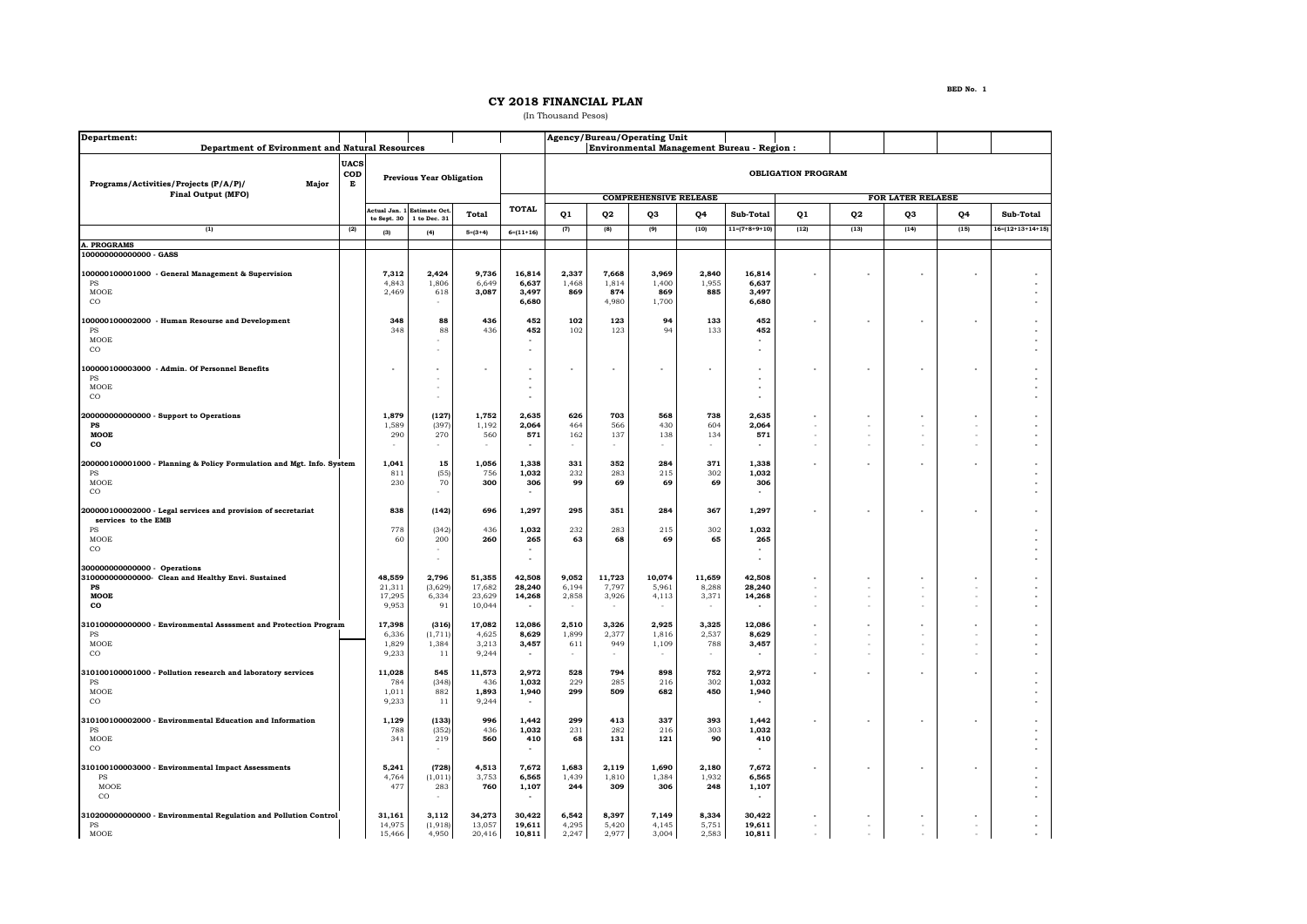## **CY 2018 FINANCIAL PLAN**

(In Thousand Pesos)

| Department:                                                                                                     |             |                                     |                                     |                                      |                                    |                              |                                | Agency/Bureau/Operating Unit                        |                                                      |                                                  |                  |                                    |              |      |                            |  |  |
|-----------------------------------------------------------------------------------------------------------------|-------------|-------------------------------------|-------------------------------------|--------------------------------------|------------------------------------|------------------------------|--------------------------------|-----------------------------------------------------|------------------------------------------------------|--------------------------------------------------|------------------|------------------------------------|--------------|------|----------------------------|--|--|
| Department of Evironment and Natural Resources                                                                  | <b>UACS</b> |                                     |                                     |                                      |                                    |                              |                                |                                                     |                                                      | <b>Environmental Management Bureau - Region:</b> |                  |                                    |              |      |                            |  |  |
| Programs/Activities/Projects (P/A/P)/<br>Major                                                                  | COD<br>Е    | <b>Previous Year Obligation</b>     |                                     |                                      |                                    |                              | <b>OBLIGATION PROGRAM</b>      |                                                     |                                                      |                                                  |                  |                                    |              |      |                            |  |  |
| <b>Final Output (MFO)</b>                                                                                       |             |                                     |                                     |                                      | <b>TOTAL</b>                       | <b>COMPREHENSIVE RELEASE</b> |                                |                                                     | <b>FOR LATER RELAESE</b>                             |                                                  |                  |                                    |              |      |                            |  |  |
|                                                                                                                 |             | Actual Jan. 1<br>to Sept. 30        | <b>Estimate Oct</b><br>1 to Dec. 31 | Total                                |                                    | Q1                           | 02                             | O <sub>3</sub>                                      | Q4                                                   | Sub-Total                                        | Q1               | Q2                                 | QЗ           | Q4   | Sub-Total                  |  |  |
| (1)                                                                                                             | (2)         | (3)                                 | (4)                                 | $5=(3+4)$                            | $6=(11+16)$                        | (7)                          | (8)                            | (9)                                                 | (10)                                                 | $11 = (7 + 8 + 9 + 10)$                          | (12)             | (13)                               | (14)         | (15) | $16 = (12 + 13 + 14 + 15)$ |  |  |
| <b>A. PROGRAMS</b><br>100000000000000 - GASS                                                                    |             |                                     |                                     |                                      |                                    |                              |                                |                                                     |                                                      |                                                  |                  |                                    |              |      |                            |  |  |
| 100000100001000 - General Management & Supervision<br><b>PS</b><br>MOOE<br>$_{\rm CO}$                          |             | 7,312<br>4,843<br>2,469             | 2.424<br>1,806<br>618<br>٠          | 9.736<br>6,649<br>3,087              | 16,814<br>6,637<br>3,497<br>6,680  | 2,337<br>1,468<br>869        | 7.668<br>1,814<br>874<br>4,980 | 3.969<br>1,400<br>869<br>1,700                      | 2,840<br>1,955<br>885                                | 16.814<br>6,637<br>3,497<br>6,680                |                  |                                    |              |      |                            |  |  |
| 00000100002000 - Human Resourse and Development<br>$_{\rm PS}$<br>MOOE<br>$_{\rm CO}$                           |             | 348<br>348                          | 88<br>88                            | 436<br>436                           | 452<br>452                         | 102<br>102                   | 123<br>123                     | 94<br>94                                            | 133<br>133                                           | 452<br>452                                       |                  |                                    |              |      |                            |  |  |
| 00000100003000 - Admin. Of Personnel Benefits<br><b>PS</b><br>MOOE<br>$_{\rm CO}$                               |             |                                     |                                     |                                      | ٠                                  |                              |                                |                                                     |                                                      | ä,<br>٠                                          |                  |                                    | ٠            |      |                            |  |  |
| 200000000000000 - Support to Operations<br>PS<br>MOOE<br>co                                                     |             | 1,879<br>1,589<br>290               | (127)<br>(397)<br>270<br>÷          | 1,752<br>1,192<br>560                | 2,635<br>2,064<br>571              | 626<br>464<br>162            | 703<br>566<br>137              | 568<br>430<br>138<br>$\sim$                         | 738<br>604<br>134<br>$\overline{\phantom{a}}$        | 2,635<br>2,064<br>571<br>$\sim$                  |                  | $\sim$<br>$\overline{\phantom{a}}$ | $\sim$       |      |                            |  |  |
| 200000100001000 - Planning & Policy Formulation and Mgt. Info. System<br>PS<br>MOOE<br>$_{\rm CO}$              |             | 1,041<br>811<br>230                 | 15<br>(55)<br>70                    | 1,056<br>756<br>300                  | 1,338<br>1,032<br>306              | 331<br>232<br>99             | 352<br>283<br>69               | 284<br>215<br>69                                    | 371<br>302<br>69                                     | 1,338<br>1,032<br>306                            |                  |                                    |              |      |                            |  |  |
| 200000100002000 - Legal services and provision of secretariat<br>services to the EMB                            |             | 838                                 | (142)                               | 696                                  | 1,297                              | 295                          | 351                            | 284                                                 | 367                                                  | 1,297                                            |                  |                                    |              |      |                            |  |  |
| PS<br>MOOE<br>$_{\rm CO}$                                                                                       |             | 778<br>60                           | (342)<br>200                        | 436<br>260                           | 1,032<br>265<br>٠                  | 232<br>63                    | 283<br>68                      | 215<br>69                                           | 302<br>65                                            | 1,032<br>265<br>$\overline{\phantom{a}}$         |                  |                                    |              |      |                            |  |  |
| 300000000000000 - Operations<br>310000000000000- Clean and Healthy Envi. Sustained<br>$_{\rm PS}$<br>MOOE<br>co |             | 48,559<br>21,311<br>17,295<br>9,953 | 2,796<br>(3,629)<br>6,334<br>91     | 51,355<br>17,682<br>23,629<br>10,044 | 42,508<br>28,240<br>14,268         | 9,052<br>6,194<br>2,858      | 11,723<br>7,797<br>3,926       | 10,074<br>5,961<br>4,113                            | 11,659<br>8,288<br>3,371<br>$\overline{\phantom{a}}$ | 42,508<br>28,240<br>14,268                       | ×.<br>÷          | $\overline{\phantom{a}}$<br>÷      | $\sim$<br>×. |      |                            |  |  |
| 310100000000000 - Environmental Assssment and Protection Program<br>PS<br>MOOE<br>$_{\rm CO}$                   |             | 17,398<br>6,336<br>1,829<br>9,233   | (316)<br>(1, 711)<br>1,384<br>11    | 17,082<br>4,625<br>3,213<br>9,244    | 12,086<br>8,629<br>3,457<br>$\sim$ | 2,510<br>1,899<br>611        | 3,326<br>2,377<br>949          | 2,925<br>1,816<br>1,109<br>$\overline{\phantom{a}}$ | 3,325<br>2,537<br>788<br>$\sim$                      | 12,086<br>8,629<br>3,457                         |                  | ÷                                  |              |      |                            |  |  |
| 310100100001000 - Pollution research and laboratory services<br>$_{\rm PS}$<br>MOOE<br>$_{\rm CO}$              |             | 11,028<br>784<br>1,011<br>9,233     | 545<br>(348)<br>882<br>11           | 11,573<br>436<br>1,893<br>9,244      | 2,972<br>1,032<br>1,940            | 528<br>229<br>299            | 794<br>285<br>509              | 898<br>216<br>682                                   | 752<br>302<br>450                                    | 2,972<br>1,032<br>1,940                          |                  |                                    |              |      |                            |  |  |
| 310100100002000 - Environmental Education and Information<br>PS<br>MOOE<br>$_{\rm CO}$                          |             | 1,129<br>788<br>341                 | (133)<br>(352)<br>219               | 996<br>436<br>560                    | 1,442<br>1,032<br>410              | 299<br>231<br>68             | 413<br>282<br>131              | 337<br>216<br>121                                   | 393<br>303<br>90                                     | 1,442<br>1,032<br>410                            |                  |                                    |              |      |                            |  |  |
| 310100100003000 - Environmental Impact Assessments<br>PS<br>MOOE<br>$_{\rm CO}$                                 |             | 5,241<br>4,764<br>477               | (728)<br>(1, 011)<br>283<br>$\sim$  | 4,513<br>3,753<br>760                | 7,672<br>6,565<br>1,107            | 1,683<br>1,439<br>244        | 2,119<br>1,810<br>309          | 1,690<br>1,384<br>306                               | 2,180<br>1,932<br>248                                | 7,672<br>6,565<br>1,107                          |                  |                                    | ä,           |      |                            |  |  |
| 310200000000000 - Environmental Regulation and Pollution Control<br>PS<br>MOOE                                  |             | 31,161<br>14,975<br>15,466          | 3,112<br>(1, 918)<br>4,950          | 34,273<br>13,057<br>20,416           | 30,422<br>19,611<br>10,811         | 6,542<br>4,295<br>2,247      | 8,397<br>5,420<br>2,977        | 7,149<br>4,145<br>3,004                             | 8,334<br>5,751<br>2,583                              | 30,422<br>19,611<br>10,811                       | $\sim$<br>$\sim$ | ÷                                  |              |      |                            |  |  |

**BED No. 1**